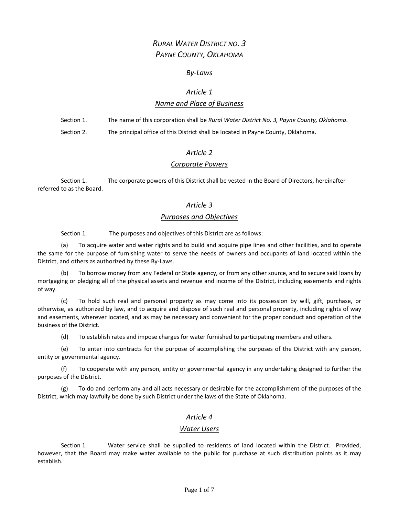# *RURAL WATER DISTRICT NO. 3 PAYNE COUNTY, OKLAHOMA*

### *By‐Laws*

# *Article 1*

# *Name and Place of Business*

Section 1. The name of this corporation shall be *Rural Water District No. 3, Payne County, Oklahoma*. Section 2. The principal office of this District shall be located in Payne County, Oklahoma.

# *Article 2*

# *Corporate Powers*

Section 1. The corporate powers of this District shall be vested in the Board of Directors, hereinafter referred to as the Board.

# *Article 3*

### *Purposes and Objectives*

Section 1. The purposes and objectives of this District are as follows:

(a) To acquire water and water rights and to build and acquire pipe lines and other facilities, and to operate the same for the purpose of furnishing water to serve the needs of owners and occupants of land located within the District, and others as authorized by these By‐Laws.

(b) To borrow money from any Federal or State agency, or from any other source, and to secure said loans by mortgaging or pledging all of the physical assets and revenue and income of the District, including easements and rights of way.

(c) To hold such real and personal property as may come into its possession by will, gift, purchase, or otherwise, as authorized by law, and to acquire and dispose of such real and personal property, including rights of way and easements, wherever located, and as may be necessary and convenient for the proper conduct and operation of the business of the District.

(d) To establish rates and impose charges for water furnished to participating members and others.

(e) To enter into contracts for the purpose of accomplishing the purposes of the District with any person, entity or governmental agency.

(f) To cooperate with any person, entity or governmental agency in any undertaking designed to further the purposes of the District.

(g) To do and perform any and all acts necessary or desirable for the accomplishment of the purposes of the District, which may lawfully be done by such District under the laws of the State of Oklahoma.

# *Article 4*

#### *Water Users*

Section 1. Water service shall be supplied to residents of land located within the District. Provided, however, that the Board may make water available to the public for purchase at such distribution points as it may establish.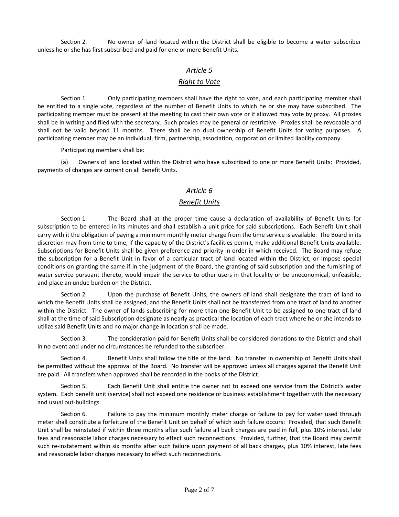Section 2. No owner of land located within the District shall be eligible to become a water subscriber unless he or she has first subscribed and paid for one or more Benefit Units.

# *Article 5*

# *Right to Vote*

Section 1. Only participating members shall have the right to vote, and each participating member shall be entitled to a single vote, regardless of the number of Benefit Units to which he or she may have subscribed. The participating member must be present at the meeting to cast their own vote or if allowed may vote by proxy. All proxies shall be in writing and filed with the secretary. Such proxies may be general or restrictive. Proxies shall be revocable and shall not be valid beyond 11 months. There shall be no dual ownership of Benefit Units for voting purposes. A participating member may be an individual, firm, partnership, association, corporation or limited liability company.

Participating members shall be:

(a) Owners of land located within the District who have subscribed to one or more Benefit Units: Provided, payments of charges are current on all Benefit Units.

# *Article 6*

# *Benefit Units*

Section 1. The Board shall at the proper time cause a declaration of availability of Benefit Units for subscription to be entered in its minutes and shall establish a unit price for said subscriptions. Each Benefit Unit shall carry with it the obligation of paying a minimum monthly meter charge from the time service is available. The Board in its discretion may from time to time, if the capacity of the District's facilities permit, make additional Benefit Units available. Subscriptions for Benefit Units shall be given preference and priority in order in which received. The Board may refuse the subscription for a Benefit Unit in favor of a particular tract of land located within the District, or impose special conditions on granting the same if in the judgment of the Board, the granting of said subscription and the furnishing of water service pursuant thereto, would impair the service to other users in that locality or be uneconomical, unfeasible, and place an undue burden on the District.

Section 2. Upon the purchase of Benefit Units, the owners of land shall designate the tract of land to which the Benefit Units shall be assigned, and the Benefit Units shall not be transferred from one tract of land to another within the District. The owner of lands subscribing for more than one Benefit Unit to be assigned to one tract of land shall at the time of said Subscription designate as nearly as practical the location of each tract where he or she intends to utilize said Benefit Units and no major change in location shall be made.

Section 3. The consideration paid for Benefit Units shall be considered donations to the District and shall in no event and under no circumstances be refunded to the subscriber.

Section 4. Benefit Units shall follow the title of the land. No transfer in ownership of Benefit Units shall be permitted without the approval of the Board. No transfer will be approved unless all charges against the Benefit Unit are paid. All transfers when approved shall be recorded in the books of the District.

Section 5. Each Benefit Unit shall entitle the owner not to exceed one service from the District's water system. Each benefit unit (service) shall not exceed one residence or business establishment together with the necessary and usual out‐buildings.

Section 6. Failure to pay the minimum monthly meter charge or failure to pay for water used through meter shall constitute a forfeiture of the Benefit Unit on behalf of which such failure occurs: Provided, that such Benefit Unit shall be reinstated if within three months after such failure all back charges are paid in full, plus 10% interest, late fees and reasonable labor charges necessary to effect such reconnections. Provided, further, that the Board may permit such re-instatement within six months after such failure upon payment of all back charges, plus 10% interest, late fees and reasonable labor charges necessary to effect such reconnections.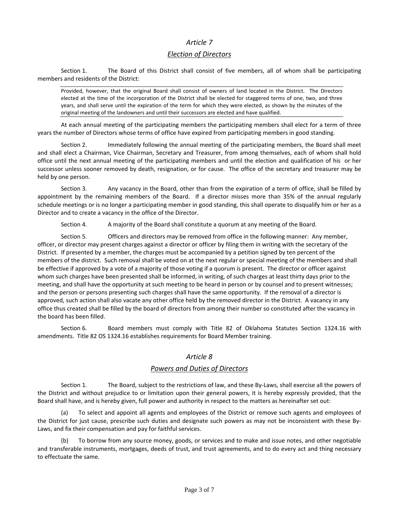# *Article 7*

#### *Election of Directors*

Section 1. The Board of this District shall consist of five members, all of whom shall be participating members and residents of the District:

Provided, however, that the original Board shall consist of owners of land located in the District. The Directors elected at the time of the incorporation of the District shall be elected for staggered terms of one, two, and three years, and shall serve until the expiration of the term for which they were elected, as shown by the minutes of the original meeting of the landowners and until their successors are elected and have qualified.

At each annual meeting of the participating members the participating members shall elect for a term of three years the number of Directors whose terms of office have expired from participating members in good standing.

Section 2. Immediately following the annual meeting of the participating members, the Board shall meet and shall elect a Chairman, Vice Chairman, Secretary and Treasurer, from among themselves, each of whom shall hold office until the next annual meeting of the participating members and until the election and qualification of his or her successor unless sooner removed by death, resignation, or for cause. The office of the secretary and treasurer may be held by one person.

Section 3. Any vacancy in the Board, other than from the expiration of a term of office, shall be filled by appointment by the remaining members of the Board. If a director misses more than 35% of the annual regularly schedule meetings or is no longer a participating member in good standing, this shall operate to disqualify him or her as a Director and to create a vacancy in the office of the Director.

Section 4. A majority of the Board shall constitute a quorum at any meeting of the Board.

Section 5. Officers and directors may be removed from office in the following manner: Any member, officer, or director may present charges against a director or officer by filing them in writing with the secretary of the District. If presented by a member, the charges must be accompanied by a petition signed by ten percent of the members of the district. Such removal shall be voted on at the next regular or special meeting of the members and shall be effective if approved by a vote of a majority of those voting if a quorum is present. The director or officer against whom such charges have been presented shall be informed, in writing, of such charges at least thirty days prior to the meeting, and shall have the opportunity at such meeting to be heard in person or by counsel and to present witnesses; and the person or persons presenting such charges shall have the same opportunity. If the removal of a director is approved, such action shall also vacate any other office held by the removed director in the District. A vacancy in any office thus created shall be filled by the board of directors from among their number so constituted after the vacancy in the board has been filled.

Section 6. Board members must comply with Title 82 of Oklahoma Statutes Section 1324.16 with amendments. Title 82 OS 1324.16 establishes requirements for Board Member training.

#### *Article 8*

# *Powers and Duties of Directors*

Section 1. The Board, subject to the restrictions of law, and these By-Laws, shall exercise all the powers of the District and without prejudice to or limitation upon their general powers, it is hereby expressly provided, that the Board shall have, and is hereby given, full power and authority in respect to the matters as hereinafter set out:

To select and appoint all agents and employees of the District or remove such agents and employees of the District for just cause, prescribe such duties and designate such powers as may not be inconsistent with these By‐ Laws, and fix their compensation and pay for faithful services.

To borrow from any source money, goods, or services and to make and issue notes, and other negotiable and transferable instruments, mortgages, deeds of trust, and trust agreements, and to do every act and thing necessary to effectuate the same.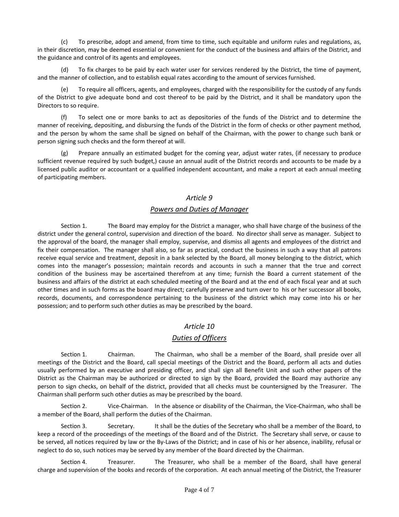(c) To prescribe, adopt and amend, from time to time, such equitable and uniform rules and regulations, as, in their discretion, may be deemed essential or convenient for the conduct of the business and affairs of the District, and the guidance and control of its agents and employees.

(d) To fix charges to be paid by each water user for services rendered by the District, the time of payment, and the manner of collection, and to establish equal rates according to the amount of services furnished.

(e) To require all officers, agents, and employees, charged with the responsibility for the custody of any funds of the District to give adequate bond and cost thereof to be paid by the District, and it shall be mandatory upon the Directors to so require.

(f) To select one or more banks to act as depositories of the funds of the District and to determine the manner of receiving, depositing, and disbursing the funds of the District in the form of checks or other payment method, and the person by whom the same shall be signed on behalf of the Chairman, with the power to change such bank or person signing such checks and the form thereof at will.

(g) Prepare annually an estimated budget for the coming year, adjust water rates, (if necessary to produce sufficient revenue required by such budget,) cause an annual audit of the District records and accounts to be made by a licensed public auditor or accountant or a qualified independent accountant, and make a report at each annual meeting of participating members.

# *Article 9*

# *Powers and Duties of Manager*

Section 1. The Board may employ for the District a manager, who shall have charge of the business of the district under the general control, supervision and direction of the board. No director shall serve as manager. Subject to the approval of the board, the manager shall employ, supervise, and dismiss all agents and employees of the district and fix their compensation. The manager shall also, so far as practical, conduct the business in such a way that all patrons receive equal service and treatment, deposit in a bank selected by the Board, all money belonging to the district, which comes into the manager's possession; maintain records and accounts in such a manner that the true and correct condition of the business may be ascertained therefrom at any time; furnish the Board a current statement of the business and affairs of the district at each scheduled meeting of the Board and at the end of each fiscal year and at such other times and in such forms as the board may direct; carefully preserve and turn over to his or her successor all books, records, documents, and correspondence pertaining to the business of the district which may come into his or her possession; and to perform such other duties as may be prescribed by the board.

# *Article 10*

# *Duties of Officers*

Section 1. Chairman. The Chairman, who shall be a member of the Board, shall preside over all meetings of the District and the Board, call special meetings of the District and the Board, perform all acts and duties usually performed by an executive and presiding officer, and shall sign all Benefit Unit and such other papers of the District as the Chairman may be authorized or directed to sign by the Board, provided the Board may authorize any person to sign checks, on behalf of the district, provided that all checks must be countersigned by the Treasurer. The Chairman shall perform such other duties as may be prescribed by the board.

Section 2. Vice-Chairman. In the absence or disability of the Chairman, the Vice-Chairman, who shall be a member of the Board, shall perform the duties of the Chairman.

Section 3. Secretary. It shall be the duties of the Secretary who shall be a member of the Board, to keep a record of the proceedings of the meetings of the Board and of the District. The Secretary shall serve, or cause to be served, all notices required by law or the By-Laws of the District; and in case of his or her absence, inability, refusal or neglect to do so, such notices may be served by any member of the Board directed by the Chairman.

Section 4. Treasurer. The Treasurer, who shall be a member of the Board, shall have general charge and supervision of the books and records of the corporation. At each annual meeting of the District, the Treasurer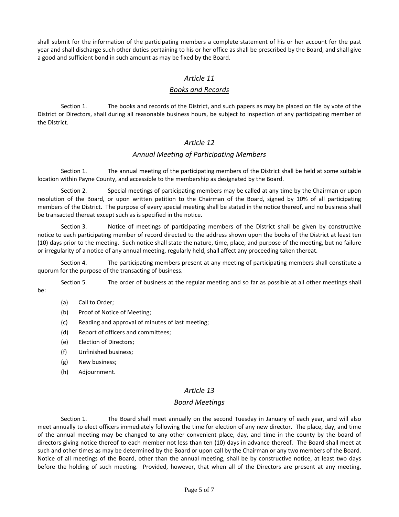shall submit for the information of the participating members a complete statement of his or her account for the past year and shall discharge such other duties pertaining to his or her office as shall be prescribed by the Board, and shall give a good and sufficient bond in such amount as may be fixed by the Board.

# *Article 11*

# *Books and Records*

Section 1. The books and records of the District, and such papers as may be placed on file by vote of the District or Directors, shall during all reasonable business hours, be subject to inspection of any participating member of the District.

# *Article 12*

# *Annual Meeting of Participating Members*

Section 1. The annual meeting of the participating members of the District shall be held at some suitable location within Payne County, and accessible to the membership as designated by the Board.

Section 2. Special meetings of participating members may be called at any time by the Chairman or upon resolution of the Board, or upon written petition to the Chairman of the Board, signed by 10% of all participating members of the District. The purpose of every special meeting shall be stated in the notice thereof, and no business shall be transacted thereat except such as is specified in the notice.

Section 3. Notice of meetings of participating members of the District shall be given by constructive notice to each participating member of record directed to the address shown upon the books of the District at least ten (10) days prior to the meeting. Such notice shall state the nature, time, place, and purpose of the meeting, but no failure or irregularity of a notice of any annual meeting, regularly held, shall affect any proceeding taken thereat.

Section 4. The participating members present at any meeting of participating members shall constitute a quorum for the purpose of the transacting of business.

Section 5. The order of business at the regular meeting and so far as possible at all other meetings shall be:

- (a) Call to Order;
- (b) Proof of Notice of Meeting;
- (c) Reading and approval of minutes of last meeting;
- (d) Report of officers and committees;
- (e) Election of Directors;
- (f) Unfinished business;
- (g) New business;
- (h) Adjournment.

# *Article 13*

#### *Board Meetings*

Section 1. The Board shall meet annually on the second Tuesday in January of each year, and will also meet annually to elect officers immediately following the time for election of any new director. The place, day, and time of the annual meeting may be changed to any other convenient place, day, and time in the county by the board of directors giving notice thereof to each member not less than ten (10) days in advance thereof. The Board shall meet at such and other times as may be determined by the Board or upon call by the Chairman or any two members of the Board. Notice of all meetings of the Board, other than the annual meeting, shall be by constructive notice, at least two days before the holding of such meeting. Provided, however, that when all of the Directors are present at any meeting,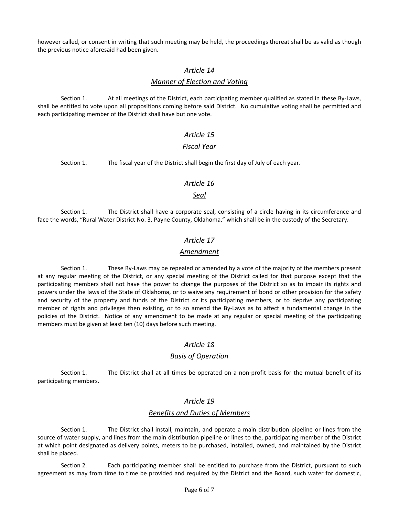however called, or consent in writing that such meeting may be held, the proceedings thereat shall be as valid as though the previous notice aforesaid had been given.

### *Article 14*

#### *Manner of Election and Voting*

Section 1. At all meetings of the District, each participating member qualified as stated in these By-Laws, shall be entitled to vote upon all propositions coming before said District. No cumulative voting shall be permitted and each participating member of the District shall have but one vote.

# *Article 15*

### *Fiscal Year*

Section 1. The fiscal year of the District shall begin the first day of July of each year.

### *Article 16*

### *Seal*

Section 1. The District shall have a corporate seal, consisting of a circle having in its circumference and face the words, "Rural Water District No. 3, Payne County, Oklahoma," which shall be in the custody of the Secretary.

# *Article 17*

### *Amendment*

Section 1. These By-Laws may be repealed or amended by a vote of the majority of the members present at any regular meeting of the District, or any special meeting of the District called for that purpose except that the participating members shall not have the power to change the purposes of the District so as to impair its rights and powers under the laws of the State of Oklahoma, or to waive any requirement of bond or other provision for the safety and security of the property and funds of the District or its participating members, or to deprive any participating member of rights and privileges then existing, or to so amend the By-Laws as to affect a fundamental change in the policies of the District. Notice of any amendment to be made at any regular or special meeting of the participating members must be given at least ten (10) days before such meeting.

#### *Article 18*

#### *Basis of Operation*

Section 1. The District shall at all times be operated on a non-profit basis for the mutual benefit of its participating members.

# *Article 19*

# *Benefits and Duties of Members*

Section 1. The District shall install, maintain, and operate a main distribution pipeline or lines from the source of water supply, and lines from the main distribution pipeline or lines to the, participating member of the District at which point designated as delivery points, meters to be purchased, installed, owned, and maintained by the District shall be placed.

Section 2. Each participating member shall be entitled to purchase from the District, pursuant to such agreement as may from time to time be provided and required by the District and the Board, such water for domestic,